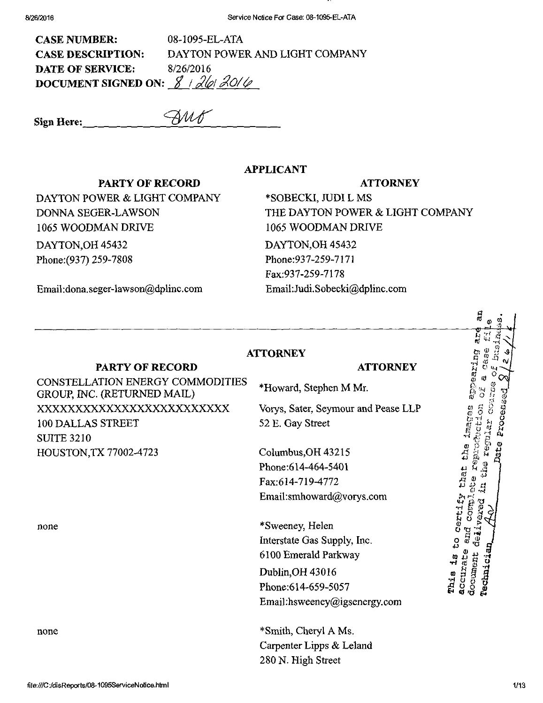| <b>CASE NUMBER:</b>                        | 08-1095-EL-ATA                 |
|--------------------------------------------|--------------------------------|
| <b>CASE DESCRIPTION:</b>                   | DAYTON POWER AND LIGHT COMPANY |
| <b>DATE OF SERVICE:</b>                    | 8/26/2016                      |
| DOCUMENT SIGNED ON: $\cancel{3}$ / 26/20/6 |                                |

 $S$ ign Here:  $\overline{\mathscr{M\!M}^{\mathscr{C}}}$ 

APPLICANT

#### PARTY OF RECORD

DAYTON POWER & LIGHT COMPANY DONNA SEGER-LAWSON 1065 WOODMAN DRIVE DAYTON,OH 45432 Phone:(937) 259-7808

### **ATTORNEY**

\*SOBECKI, JUDI L MS THE DAYTON POWER & LIGHT COMPANY 1065 WOODMAN DRIVE DAYTON,OH 45432 Phone:937-259-7171 Fax:937-259-7178 Email[:Judi.Sobecki@dplinc.com](mailto:Judi.Sobecki@dplinc.com) 

Email:[dona.seger-lawson@dplinc.com](mailto:dona.seger-lawson@dplinc.com) 

### **ATTORNEY**

### PARTY OF RECORD

#### **ATTORNEY**

CONSTELLATION ENERGY COMMODITIES GROUP, INC. (RETURNED MAIL) XXXXXXXXXXXXXXXXXXXXXXXXX 100 DALLAS STREET SUITE 3210 HOUSTON,TX 77002-4723

none

\*Howard, Stephen M Mr.

Vorys, Sater, Seymour and Pease LLP 52 E. Gay Street

Columbus,OH 43215 Phone:614-464-5401 Fax:614-719-4772 Email:[smhoward@vorys.com](mailto:smhoward@vorys.com) 

\*Sweeney, Helen Interstate Gas Supply, Inc. 6100 Emerald Parkway Dublin,OH 43016 Phone:614-659-5057 Email :[hsweeney@igsenergy.com](mailto:hsweeney@igsenergy.com)

none \*Smith, Cheryl A Ms. Carpenter Lipps & Leland 280 N. High Street

ឆ្នាំ<br>ប  $\boldsymbol{\phi}$  $\mathbf{r}$   $\cdots$  .  $\bar{\mathbf{c}}$  as  $\bar{x}$ ಗ್ಲ ೧,<br><sup>ಗ</sup> ೮ p<br>Po 11 a ft p ္သို 8 J X H  $\alpha$   $\beta$   $\gamma$ a H 3 S ដ ឌូ*ទ្ទ័ ធ្*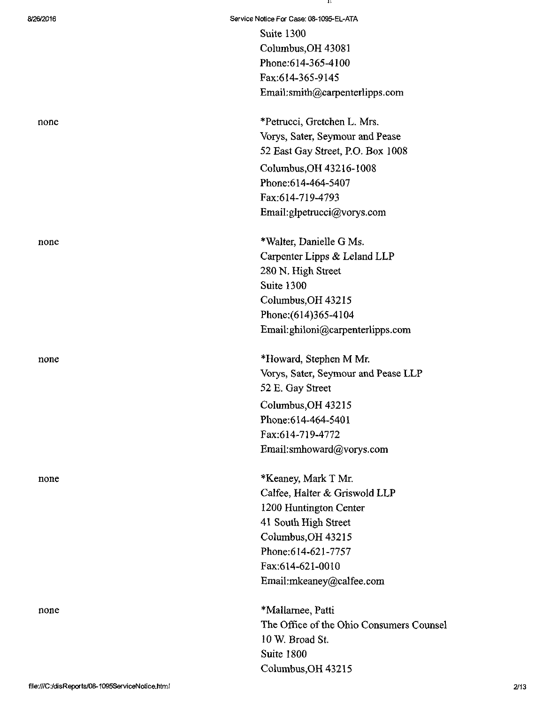|      | Suite 1300<br>Columbus, OH 43081<br>Phone:614-365-4100<br>Fax:614-365-9145<br>Email:smith@carpenterlipp                                                                                           |
|------|---------------------------------------------------------------------------------------------------------------------------------------------------------------------------------------------------|
| none | *Petrucci, Gretchen L. Mrs.<br>Vorys, Sater, Seymour and I<br>52 East Gay Street, P.O. Bo.<br>Columbus, OH 43216-1008                                                                             |
|      | Phone:614-464-5407<br>Fax:614-719-4793<br>Email:glpetrucci@vorys.com                                                                                                                              |
| none | *Walter, Danielle G Ms.<br>Carpenter Lipps & Leland I<br>280 N. High Street<br>Suite 1300<br>Columbus, OH 43215<br>Phone: (614) 365-4104<br>Email:ghiloni@carpenterlip                            |
| none | *Howard, Stephen M Mr.<br>Vorys, Sater, Seymour and I<br>52 E. Gay Street<br>Columbus, OH 43215<br>Phone: 614-464-5401<br>Fax:614-719-4772<br>Email:smhoward@vorys.co                             |
| none | *Keaney, Mark T Mr.<br>Calfee, Halter & Griswold I<br>1200 Huntington Center<br>41 South High Street<br>Columbus, OH 43215<br>Phone: 614-621-7757<br>Fax:614-621-0010<br>Email:mkeaney@calfee.cor |
| none | *Mallarnee, Patti<br>The Office of the Ohio Con<br>10 W. Broad St.                                                                                                                                |

8/26/2016 Service Notice For Case: 08-1095-EL-ATA Suite 1300 Columbus,OH 43081 Phone:614-365-4100 Fax:614-365-9145 Email:[smith@carpenterlipps.com](mailto:smith@carpenterlipps.com) 

> Vorys, Sater, Seymour and Pease 52 East Gay Street, RO. Box 1008 Columbus,OH 43216-1008 Phone:614-464-5407 Fax:614-719-4793 Email:[glpetrucci@vorys.com](mailto:glpetrucci@vorys.com)

Carpenter Lipps & Leland LLP 280 N. High Street Suite 1300 Columbus,OH 43215 Phone;(614)365-4104 Email:[ghiloni@carpenterlipps.com](mailto:ghiloni@carpenterlipps.com) 

Vorys, Sater, Seymour and Pease LLP 52 E. Gay Street CoIumbus,OH 43215 Phone:614-464-5401 Fax:614-719-4772 Email: smhoward@vorys.com

Calfee, Halter & Griswold LLP 1200 Huntington Center 41 South High Street Columbus,OH 43215 Phone:614-621-7757 Fax:614-621-0010 Email:[mkeaney@calfee.com](mailto:mkeaney@calfee.com) 

The Office of the Ohio Consumers Counsel 10 W. Broad St. Suite 1800 Columbus,OH 43215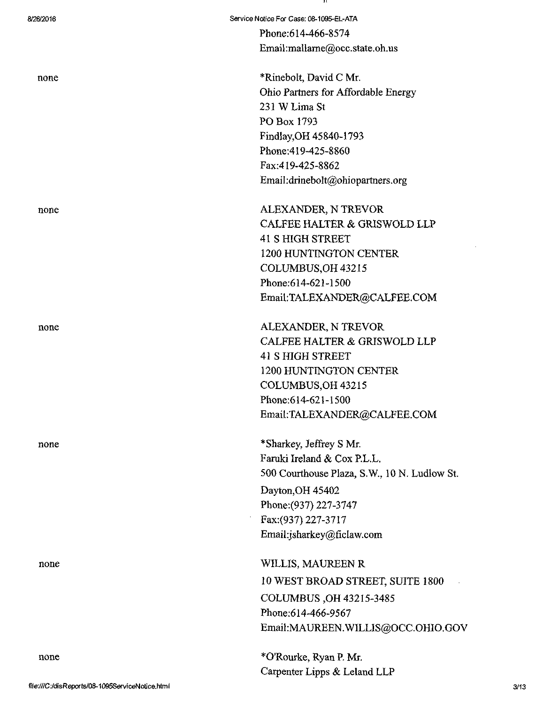Phone:614-466-8574 Email:mallarne@occ.state.oh.us

none \*Rinebolt, David C Mr. Ohio Partners for Affordable Energy 231 W Lima St PO Box 1793 Findlay,OH 45840-1793 Phone:419-425-8860 Fax:419-425-8862 Email:[drinebolt@ohiopartners.org](mailto:drinebolt@ohiopartners.org) 

none ALEXANDER, N TREVOR CALFEE HALTER & GRISWOLD LLP 41 S HIGH STREET 1200 HUNTmGTON CENTER COLUMBUS,OH43215 Phone:614-621-1500 Email:[TALEXANDER@CALFEE.COM](mailto:TALEXANDER@CALFEE.COM) 

none ALEXANDER, N TREVOR CALFEE HALTER & GRISWOLD LLP 41 S HIGH STREET 1200 HUNTINGTON CENTER COLUMBUS,OH 43215 Phone:614-621-1500 Email:[TALEXANDER@CALFEE.COM](mailto:TALEXANDER@CALFEE.COM) 

> \*Sharkey, Jeffrey S Mr. Faruki Ireland & Cox P.L.L. 500 Courthouse Plaza, S.W., 10 N. Ludlow St. Dayton,OH 45402 Phone:(937) 227-3747 Fax:(937)227-3717 Email[:jsharkey@ficlaw.com](mailto:jsharkey@ficlaw.com)

WILLIS, MAUREEN R 10 WEST BROAD STREET, SUITE 1800 COLUMBUS ,0H 43215-3485 Phone:614-466-9567 Email:MAUREEN.WILLIS@OCC.OHIO.GOV

\*0'Rourke, Ryan P Mr. Carpenter Lipps & Leland LLP

[file:///C ;](file:///C)/disReport5/0S-1095ServiceNotice.htm I

none

none

none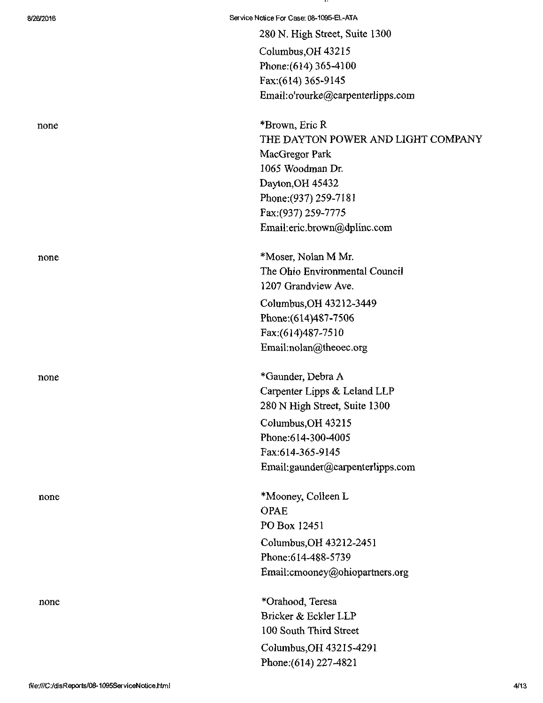280 N. High Street, Suite 1300 Columbus,OH 43215 Phone:(614) 365-4100 Fax:(614) 365-9145 Email:o'[rourke@carpenterIipps.com](mailto:rourke@carpenterIipps.com) 

none \*Brown, Eric R THE DAYTON POWER AND LIGHT COMPANY MacGregor Park 1065 Woodman Dr. Dayton,OH 45432 Phone:(937)259-7181 Fax:(937) 259-7775 Email:[eric.brown@dplinc.com](mailto:eric.brown@dplinc.com) 

none \*Moser, Nolan M Mr. The Ohio Environmental Council 1207 Grandview Ave. Columbus,OH 43212-3449 Phone:(614)487-7506 Fax:(614)487-7510 Email[:nolan@theoec.org](mailto:nolan@theoec.org) 

none \*Gaunder, Debra A Carpenter Lipps & Leland LLP 280 N High Street, Suite 1300 Columbus,OH 43215 Phone:614-300-4005 Fax:614-365-9145 Email: gaunder@carpenterlipps. com

none \*Mooney, Colleen L OPAE PO Box 12451 Columbus,OH 43212-2451 Phone:614-488-5739 Email:[cmooney@ohiopartners.org](mailto:cmooney@ohiopartners.org) 

none \*Orahood, Teresa Bricker&EcklerLLP 100 South Third Street Columbus^OH 43215-4291 Phone: (614) 227-4821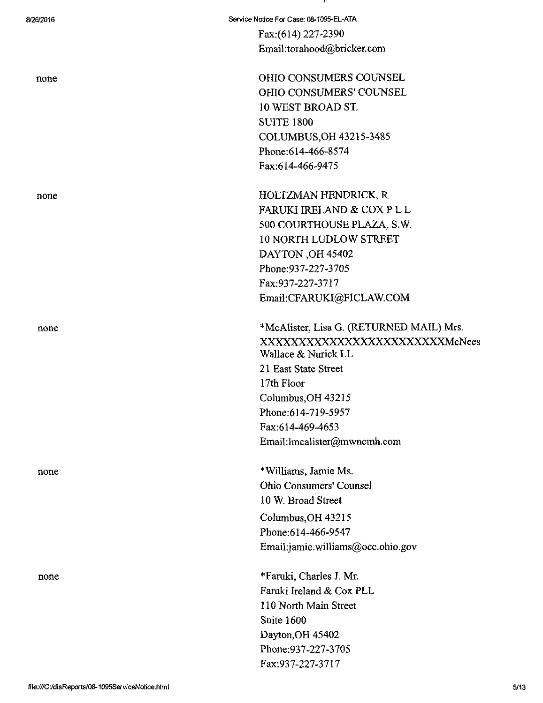8/26/2016 Service Notice For Case: 08-1095-EL-ATA

Fax:(614) 227-2390 Email:torahood@bricker.com

none **OHIO CONSUMERS COUNSEL** OHIO CONSUMERS' COUNSEL 10 WEST BROAD ST. SUITE 1800 COLUMBUS,OH 43215-3485 Phone:614-466-8574 Fax:614-466-9475

none HOLTZMAN HENDRICK, R FARUKI IRELAND & COX PL L 500 COURTHOUSE PLAZA, S.W. 10 NORTH LUDLOW STREET DAYTON,OH 45402 Phone:937-227-3705 Fax:937-227-3717 Email:CFARUKI^FICLAW.COM

none \*McAlister, Lisa G. (RETURNED MAIL) Mrs. XXXXXXXXXXXXXXXXXXXXXXXXMcNees Wallace & Nurick LL 21 East State Street 17th Floor Columbus,OH 43215 Phone:614-719-5957 Fax:614-469-4653 Email: lmcalister@mwncmh.com

none \*Williams, Jamie Ms. Ohio Consumers' Counsel 10 W. Broad Street Columbus,OH 43215 Phone:614-466-9547 Email:] [amie.williams@occ.ohio.gov](mailto:amie.williams@occ.ohio.gov) 

none \*Faruki, Charles J. Mr. Faruki Ireland & Cox PLL 110 North Main Street Suite 1600 Dayton,OH 45402 Phone:937-227-3705 Fax:937-227-3717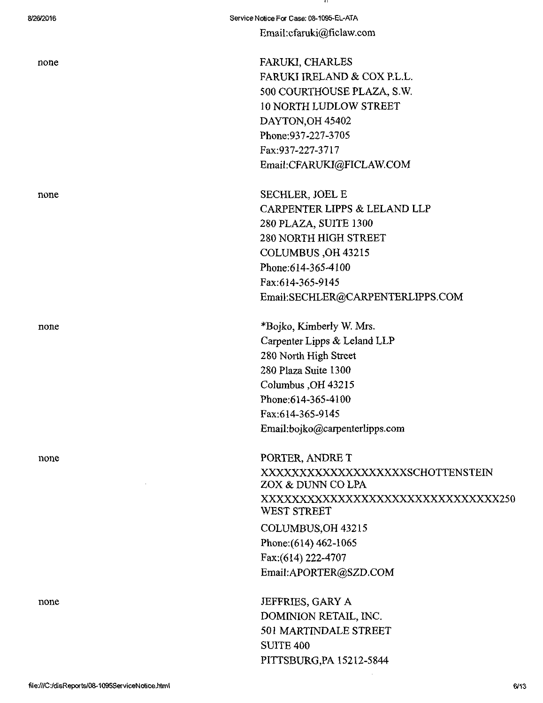none

none

Email:cfaruki@ficlaw.com

FARUKI, CHARLES FARUKI IRELAND & COX RL.L. 500 COURTHOUSE PLAZA, S.W. 10 NORTH LUDLOW STREET DAYTON,OH 45402 Phone:937-227-3705 Fax:937-227-3717 Email:CFARUKI@FICLAWCOM

none SECHLER, JOEL E CARPENTER LIPPS & LELAND LLP 280PLAZA, SUITE 1300 280 NORTH HIGH STREET COLUMBUS ,OH 43215 Phone:614-365-4100 Fax:614-365-9145 Email:SECHLER@CARPENTERLIPPS.COM

> \*Bojko, Kimberly W. Mrs. Carpenter Lipps & Leland LLP 280 North High Street 280 Plaza Suite 1300 Columbus,OH 43215 Phone:614-365-4100 Fax:614-365-9145 Email[:bojko@carpenterlipps.com](mailto:bojko@carpenterlipps.com)

PORTER, ANDRE T XXXXXXXXXXXXXXXXXXXSCHOTTENSTEIN ZOX & DUNN CO LPA XXXXXXXXXXXXXXXXXXXXXXXXXXXXXXX250 WEST STREET COLUMBUS,OH 43215 Phone: (614) 462-1065

Fax:(614)222-4707 Email:APORTER@SZD.COM

none JEFFRIES, GARY A DOMINION RETAIL, INC. 501 MARTINDALE STREET SUITE 400 PITTSBURG,PA 15212-5844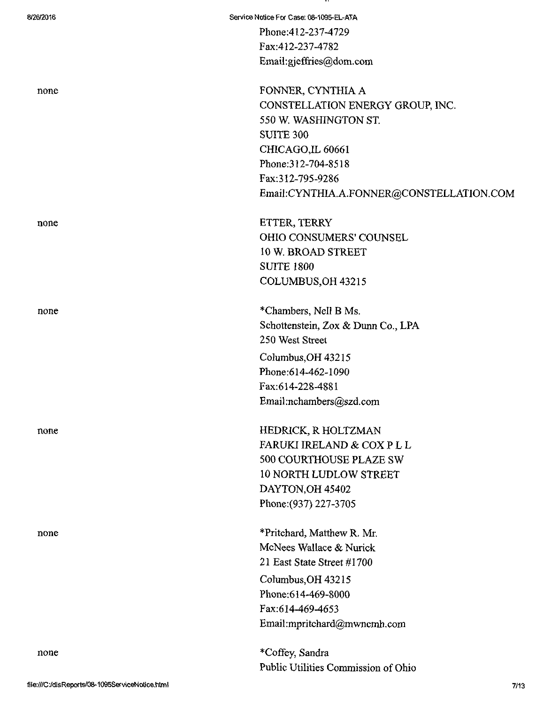| 8/26/2016 | Service Notice For Case: 08-1095-EL-ATA  |
|-----------|------------------------------------------|
|           | Phone: 412-237-4729                      |
|           | Fax:412-237-4782                         |
|           | Email:gjeffries@dom.com                  |
|           | FONNER, CYNTHIA A                        |
| none      | CONSTELLATION ENERGY GROUP, INC.         |
|           | 550 W. WASHINGTON ST.                    |
|           | <b>SUITE 300</b>                         |
|           | CHICAGO, IL 60661                        |
|           | Phone: 312-704-8518                      |
|           | Fax:312-795-9286                         |
|           | Email:CYNTHIA.A.FONNER@CONSTELLATION.COM |
| none      | ETTER, TERRY                             |
|           | OHIO CONSUMERS' COUNSEL                  |
|           | 10 W. BROAD STREET                       |
|           | <b>SUITE 1800</b>                        |
|           | COLUMBUS, OH 43215                       |
| none      | *Chambers, Nell B Ms.                    |
|           | Schottenstein, Zox & Dunn Co., LPA       |
|           | 250 West Street                          |
|           | Columbus, OH 43215                       |
|           | Phone:614-462-1090                       |
|           | Fax:614-228-4881                         |
|           | Email:nchambers@szd.com                  |
| none      | HEDRICK, R HOLTZMAN                      |
|           | FARUKI IRELAND & COX P L L               |
|           | 500 COURTHOUSE PLAZE SW                  |
|           | <b>10 NORTH LUDLOW STREET</b>            |
|           | DAYTON, OH 45402                         |
|           | Phone: (937) 227-3705                    |
| none      | *Pritchard, Matthew R. Mr.               |
|           | McNees Wallace & Nurick                  |
|           | 21 East State Street #1700               |
|           | Columbus, OH 43215                       |
|           | Phone: 614-469-8000                      |
|           | Fax:614-469-4653                         |
|           | Email:mpritchard@mwncmh.com              |
| none      | *Coffey, Sandra                          |
|           | Public Utilities Commission of Ohio      |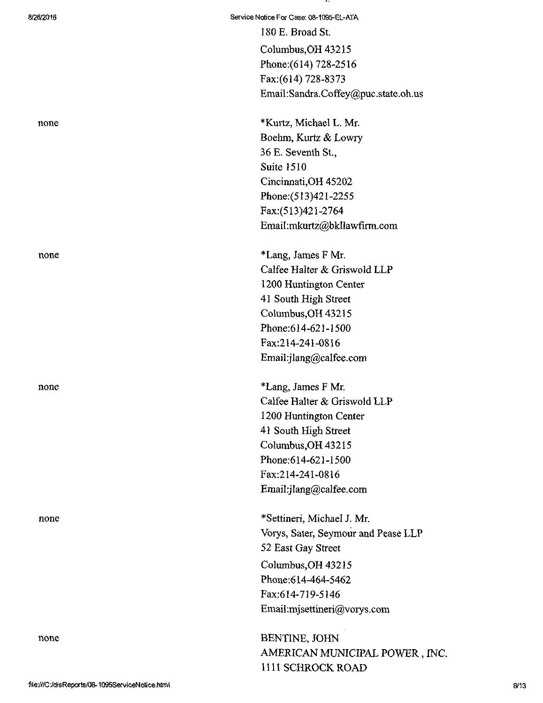none

Columbus,OH 43215 Phone:(614) 728-2516 Fax;(614) 728-8373 Email:[Sandra.Coffey@puc.state.oh.us](mailto:Sandra.Coffey@puc.state.oh.us) 

none \*Kurtz, Michael L. Mr. Boehm, Kurtz & Lowry 36 E. Seventh St., Suite 1510 Cincinnati,OH 45202 Phone:(513)421-2255 Fax:(513)421-2764 Email:[mkurtz@bkllawfirm.com](mailto:mkurtz@bkllawfirm.com) 

none \*Lang, James F Mr. Calfee Halter & Griswold LLP 1200 Huntington Center 41 South High Street Columbus,OH 43215 Phone:614-621-1500 Fax:214-241-0816 Email[:jlang@calfee.com](mailto:jlang@calfee.com) 

none \*Lang, James F Mr. Calfee Halter & Griswold LLP 1200 Huntington Center 41 South High Street Columbus,OH 43215 Phone:614-621-1500 Fax:214-241-0816 Email[:jlang@calfee.com](mailto:jlang@calfee.com) 

none \*Settineri, Michael J. Mr. Vorys, Sater, Seymour and Pease LLP 52 East Gay Street Columbus,OH 43215 Phone:614-464-5462 Fax:614-719-5146 Email:mjsettineri@vorys.com

> BENTINE, JOHN AMERICAN MUNICIPAL POWER, INC. 1111 SCHROCK ROAD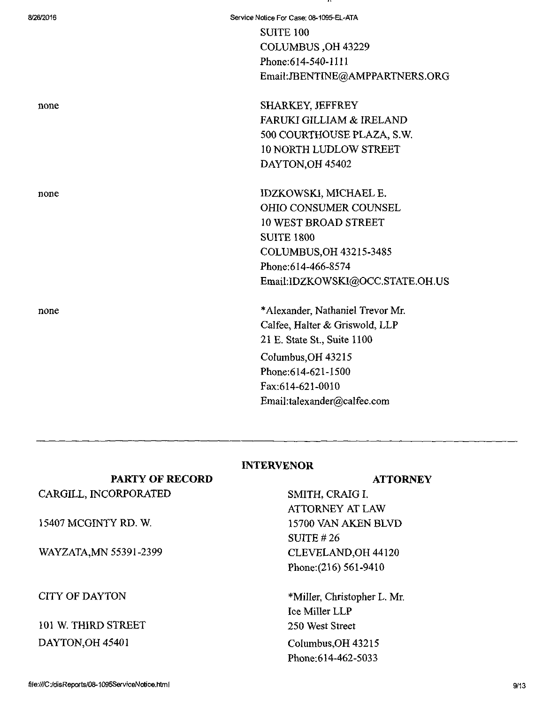| 8/26/2016 | Service Notice For Case: 08-1095-EL-ATA |
|-----------|-----------------------------------------|
|           | <b>SUITE 100</b>                        |
|           | COLUMBUS, OH 43229                      |
|           | Phone: 614-540-1111                     |
|           | Email:JBENTINE@AMPPARTNERS.ORG          |
| none      | SHARKEY, JEFFREY                        |
|           | <b>FARUKI GILLIAM &amp; IRELAND</b>     |
|           | 500 COURTHOUSE PLAZA, S.W.              |
|           | <b>10 NORTH LUDLOW STREET</b>           |
|           | DAYTON, OH 45402                        |
| none      | IDZKOWSKI, MICHAEL E.                   |
|           | <b>OHIO CONSUMER COUNSEL</b>            |
|           | <b>10 WEST BROAD STREET</b>             |
|           | <b>SUITE 1800</b>                       |
|           | COLUMBUS, OH 43215-3485                 |
|           | Phone:614-466-8574                      |
|           | Email:IDZKOWSKI@OCC.STATE.OH.US         |
| none      | *Alexander, Nathaniel Trevor Mr.        |
|           | Calfee, Halter & Griswold, LLP          |
|           | 21 E. State St., Suite 1100             |
|           | Columbus, OH 43215                      |
|           | Phone:614-621-1500                      |
|           | Fax:614-621-0010                        |
|           | Email:talexander@calfee.com             |

### INTERVENOR

### **ATTORNEY**

SMITH, CRAIG I. ATTORNEY AT LAW 15700 VAN AKEN BLVD SUITE #26 CLEVELAND,OH 44120 Phone: (216) 561-9410

\*MiIIer, Christopher L. Mr. Ice Miller LLP 250 West Street Columbus,OH 43215 Phone:614-462-5033

## PARTY OF RECORD CARGILL, INCORPORATED

15407 MCGINTY RD. W.

WAYZATA, MN 55391-2399

CITY OF DAYTON

# 101 W. THIRD STREET DAYTON,OH 45401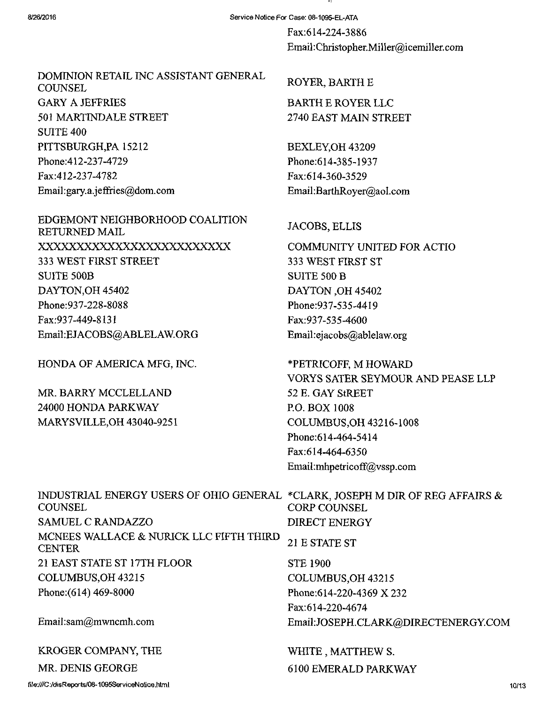Fax:614-224-3886 Email: Christopher.Miller@icemiller. com

# DOMINION RETAIL INC ASSISTANT GENERAL **COUNSEL** GARY A JEFFRIES 501 MARTINDALE STREET SUITE 400 PITTSBURGH,PA 15212 Phone:412-237-4729 Fax:412-237-4782 Email:gary.a.jeffries@dom.com

EDGEMONT NEIGHBORHOOD COALITION RETURNED MAIL XXXXXXXXXXXXXXXXXXXXXXXXX 333 WEST FIRST STREET SUITE 500B DAYTON,OH 45402 Phone:937-228-8088 Fax:937-449-8131 Email:EJACOBS{aABLELAW.ORG

HONDA OF AMERICA MFG, INC.

MR. BARRY MCCLELLAND 24000 HONDA PARKWAY MARYSVILLE,OH 43040-9251

### ROYER, BARTH E

BARTH E ROYER LLC 2740 EAST MAIN STREET

BEXLEY,OH 43209 Phone;614-385-1937 Fax:614-360-3529 Email :BarthRoyer@aol. com

## JACOBS, ELLIS

COMMUNITY UNITED FOR ACTIO 333 WEST FIRST ST SUITE 500 B DAYTON ,0H 45402 Phone:937-535-4419 Fax:937-535-4600 Email:[ejacobs@ablelaw.org](mailto:ejacobs@ablelaw.org) 

\*PETRICOFF, M HOWARD VORYS SATER SEYMOUR AND PEASE LLP 52 E. GAY StREET RO. BOX 1008 COLUMBUS,OH 43216-1008 Phone:614-464-5414 Fax:614-464-6350 Email:[nihpetricoff@vssp.com](mailto:nihpetricoff@vssp.com) 

| INDUSTRIAL ENERGY USERS OF OHIO GENERAL *CLARK, JOSEPH M DIR OF REG AFFAIRS $\&$<br>COUNSEL | <b>CORP COUNSEL</b>                 |
|---------------------------------------------------------------------------------------------|-------------------------------------|
| <b>SAMUEL C RANDAZZO</b>                                                                    | <b>DIRECT ENERGY</b>                |
| MCNEES WALLACE & NURICK LLC FIFTH THIRD<br><b>CENTER</b>                                    | 21 E STATE ST                       |
| 21 EAST STATE ST 17TH FLOOR                                                                 | <b>STE 1900</b>                     |
| COLUMBUS, OH 43215                                                                          | COLUMBUS, OH 43215                  |
| Phone: (614) 469-8000                                                                       | Phone: 614-220-4369 X 232           |
|                                                                                             | Fax:614-220-4674                    |
| Email:sam@mwncmh.com                                                                        | Email:JOSEPH.CLARK@DIRECTENERGY.COM |
| KROGER COMPANY, THE                                                                         | WHITE, MATTHEW S.                   |
| MR. DENIS GEORGE                                                                            | 6100 EMERALD PARKWAY                |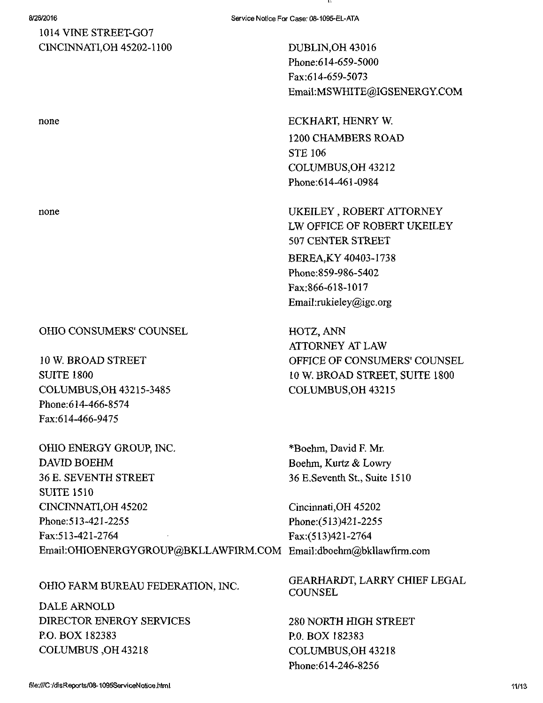## 1014 VINE STREET-GO? C1NCINNATI,0H 45202-1100

OHIO CONSUMERS' COUNSEL

low. BROAD STREET SUITE 1800 COLUMBUS,OH 43215-3485 Phone:614-466-8574 Fax:614-466-9475

OHIO ENERGY GROUP, INC. DAVID BOEHM 36 E. SEVENTH STREET

SUITE 1510 CINCTNNATI,OH 45202 Phone:513-421-2255 Fax:513-421-2764 Email:OHIOENERGYGROUP@BKLLAWFIRM.COM Email:dboehm@bkllawfirm.com Fax:(513)421-2764

### OHIO FARM BUREAU FEDERATION, INC.

DALE ARNOLD DIRECTOR ENERGY SERVICES P.O. BOX 182383 COLUMBUS,OH 43218

DUBLIN,OH 43016 Phone:614-659-5000 Fax:614-659-5073 Email:[MSWHITE@IGSENERGY.COM](mailto:MSWHITE@IGSENERGY.COM) 

none ECKHART, HENRY W. 1200 CHAMBERS ROAD STE 106 COLUMBUS,OH 43212 Phone:614-461-0984

none UKEILEY, ROBERT ATTORNEY LW OFFICE OF ROBERT UKEILEY 507 CENTER STREET BEREA,KY 40403-1738 Phone:859-986-5402 Fax:866-618-1017 Email:[rukieIey@igc.org](mailto:rukieIey@igc.org) 

> HOTZ, ANN ATTORNEY AT LAW OFFICE OF CONSUMERS' COUNSEL 10 W. BROAD STREET, SUITE 1800 COLUMBUS,OH 43215

\*Boehm, David F. Mr Boehm, Kurtz & Lowry 36 E.Seventh St., Suite 1510

Cincinnati,OH 45202 Phone:(513)421-2255

GEARHARDT, LARRY CHIEF LEGAL **COUNSEL** 

280 NORTH HIGH STREET P.O. BOX 182383 COLUMBUS,OH 43218 Phone:614-246-8256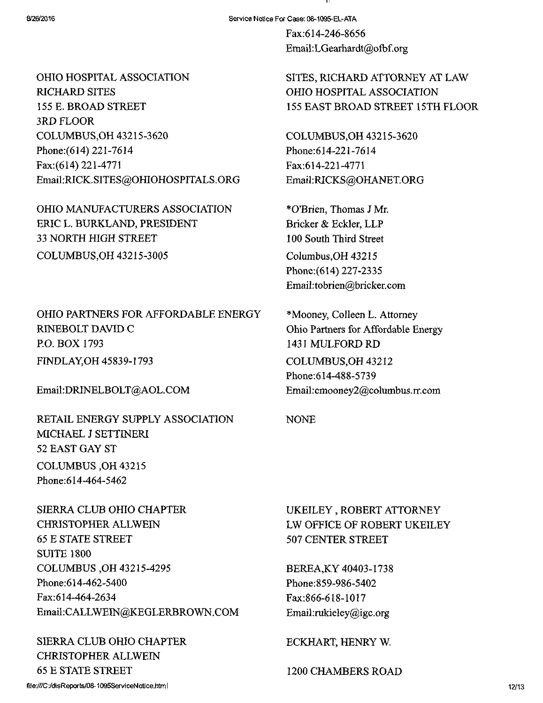Fax:614-246-8656 Email:LGearhardt@ofbf.org

OHIO HOSPITAL ASSOCIATION RICHARD SITES 155 E. BROAD STREET 3RD FLOOR COLUMBUS,OH 43215-3620 Phone: (614) 221-7614 Fax:(614)221-4771 Email:RICK.SITES@OHIOHOSPITALS.ORG

OHIO MANUFACTURERS ASSOCIATION ERIC L. BURKLAND, PRESIDENT 33 NORTH HIGH STREET COLUMBUS,OH 43215-3005

OHIO PARTNERS FOR AFFORDABLE ENERGY RINEBOLT DAVID C P.O. BOX 1793 FINDLAY,OH 45839-1793

Email:[DRINELBOLT@AOL.COM](mailto:DRINELBOLT@AOL.COM) 

RETAIL ENERGY SUPPLY ASSOCIATION MICHAEL J SETTINERI 52 EAST GAY ST COLUMBUS,OH 43215 Phone:614-464-5462

SIERRA CLUB OHIO CHAPTER CHRISTOPHER ALLWEIN 65 E STATE STREET SUITE 1800 COLUMBUS ,0H 43215-4295 Phone:614-462-5400 Fax:614-464-2634 Email:[CALLWEIN@KEGLERBROWN.COM](mailto:CALLWEIN@KEGLERBROWN.COM) 

SIERRA CLUB OHIO CHAPTER CHRISTOPHER ALLWEIN 65 E STATE STREET

SITES, RICHARD ATTORNEY AT LAW OHIO HOSPITAL ASSOCIATION 155 EAST BROAD STREET 15TH FLOOR

COLUMBUS,OH 43215-3620 Phone:614-221-7614 Fax:614-221-4771 Email:RICKS@OHANET.ORG

\*0'Brien, Thomas J Mr. Bricker & Eckler, LLP 100 South Third Street Columbus,OH 43215 Phone:(614)227-2335 Email[:tobrien@bricker.com](mailto:tobrien@bricker.com) 

\*Mooney, Colleen L. Attorney Ohio Partners for Affordable Energy 1431 MULFORD RD COLUMBUS,OH 43212 Phone:614-488-5739 Email: cmooney2@columbus.rr.com

NONE

UKEILEY, ROBERT ATTORNEY LW OFFICE OF ROBERT UKEILEY 507 CENTER STREET

BEREA,KY 40403-1738 Phone:859-986-5402 Fax:866-618-1017 Email:[rukieley@igc.org](mailto:rukieley@igc.org) 

ECKHART, HENRY W.

1200 CHAMBERS ROAD